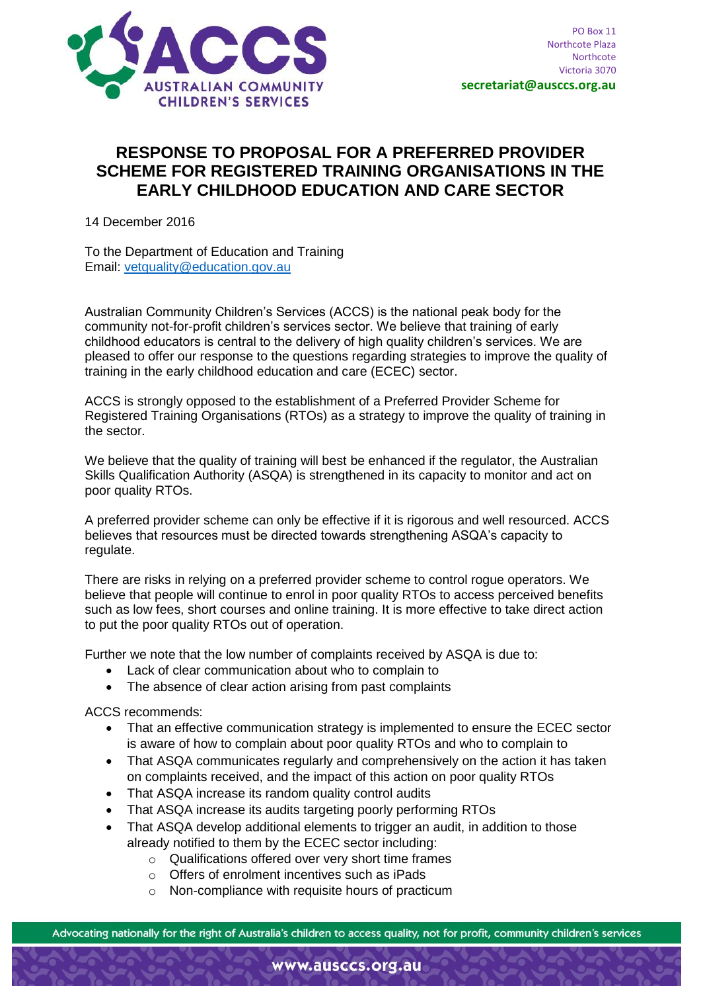

## **RESPONSE TO PROPOSAL FOR A PREFERRED PROVIDER SCHEME FOR REGISTERED TRAINING ORGANISATIONS IN THE EARLY CHILDHOOD EDUCATION AND CARE SECTOR**

14 December 2016

To the Department of Education and Training Email: [vetquality@education.gov.au](mailto:vetquality@education.gov.au)

Australian Community Children's Services (ACCS) is the national peak body for the community not-for-profit children's services sector. We believe that training of early childhood educators is central to the delivery of high quality children's services. We are pleased to offer our response to the questions regarding strategies to improve the quality of training in the early childhood education and care (ECEC) sector.

ACCS is strongly opposed to the establishment of a Preferred Provider Scheme for Registered Training Organisations (RTOs) as a strategy to improve the quality of training in the sector.

We believe that the quality of training will best be enhanced if the regulator, the Australian Skills Qualification Authority (ASQA) is strengthened in its capacity to monitor and act on poor quality RTOs.

A preferred provider scheme can only be effective if it is rigorous and well resourced. ACCS believes that resources must be directed towards strengthening ASQA's capacity to regulate.

There are risks in relying on a preferred provider scheme to control rogue operators. We believe that people will continue to enrol in poor quality RTOs to access perceived benefits such as low fees, short courses and online training. It is more effective to take direct action to put the poor quality RTOs out of operation.

Further we note that the low number of complaints received by ASQA is due to:

- Lack of clear communication about who to complain to
- The absence of clear action arising from past complaints

ACCS recommends:

- That an effective communication strategy is implemented to ensure the ECEC sector is aware of how to complain about poor quality RTOs and who to complain to
- That ASQA communicates regularly and comprehensively on the action it has taken on complaints received, and the impact of this action on poor quality RTOs
- That ASQA increase its random quality control audits
- That ASQA increase its audits targeting poorly performing RTOs
- That ASQA develop additional elements to trigger an audit, in addition to those already notified to them by the ECEC sector including:
	- $\circ$  Qualifications offered over very short time frames
	- o Offers of enrolment incentives such as iPads
	- o Non-compliance with requisite hours of practicum

Advocating nationally for the right of Australia's children to access quality, not for profit, community children's services

www.ausccs.org.au